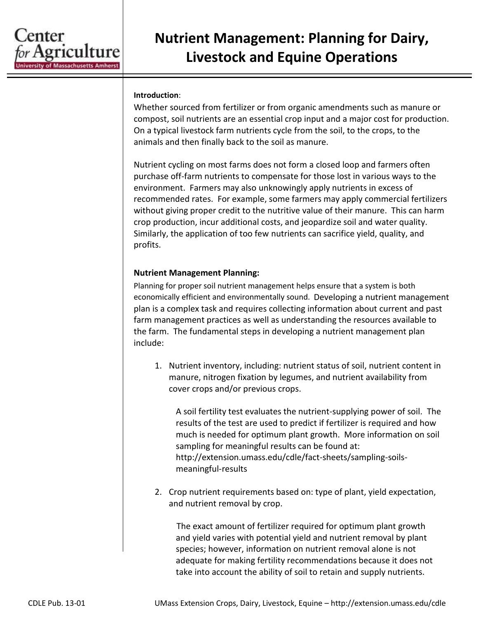

## **Nutrient Management: Planning for Dairy, Livestock and Equine Operations**

## **Introduction**:

Whether sourced from fertilizer or from organic amendments such as manure or compost, soil nutrients are an essential crop input and a major cost for production. On a typical livestock farm nutrients cycle from the soil, to the crops, to the animals and then finally back to the soil as manure.

Nutrient cycling on most farms does not form a closed loop and farmers often purchase off-farm nutrients to compensate for those lost in various ways to the environment. Farmers may also unknowingly apply nutrients in excess of recommended rates. For example, some farmers may apply commercial fertilizers without giving proper credit to the nutritive value of their manure. This can harm crop production, incur additional costs, and jeopardize soil and water quality. Similarly, the application of too few nutrients can sacrifice yield, quality, and profits.

## **Nutrient Management Planning:**

Planning for proper soil nutrient management helps ensure that a system is both economically efficient and environmentally sound. Developing a nutrient management plan is a complex task and requires collecting information about current and past farm management practices as well as understanding the resources available to the farm. The fundamental steps in developing a nutrient management plan include:

1. Nutrient inventory, including: nutrient status of soil, nutrient content in manure, nitrogen fixation by legumes, and nutrient availability from cover crops and/or previous crops.

A soil fertility test evaluates the nutrient-supplying power of soil. The results of the test are used to predict if fertilizer is required and how much is needed for optimum plant growth. More information on soil sampling for meaningful results can be found at: http://extension.umass.edu/cdle/fact-sheets/sampling-soilsmeaningful-results

2. Crop nutrient requirements based on: type of plant, yield expectation, and nutrient removal by crop.

The exact amount of fertilizer required for optimum plant growth and yield varies with potential yield and nutrient removal by plant species; however, information on nutrient removal alone is not adequate for making fertility recommendations because it does not take into account the ability of soil to retain and supply nutrients.